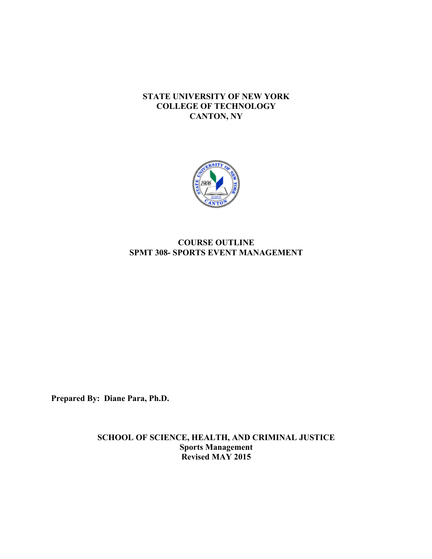## **STATE UNIVERSITY OF NEW YORK COLLEGE OF TECHNOLOGY CANTON, NY**



# **SPMT 308- SPORTS EVENT MANAGEMENT COURSE OUTLINE**

**Prepared By: Diane Para, Ph.D.** 

**SCHOOL OF SCIENCE, HEALTH, AND CRIMINAL JUSTICE Sports Management Revised MAY 2015**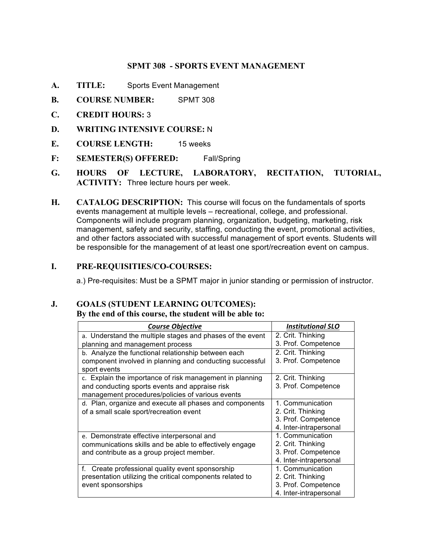## **SPMT 308 - SPORTS EVENT MANAGEMENT**

- **A. TITLE:** Sports Event Management
- **B. COURSE NUMBER:** SPMT 308
- **C. CREDIT HOURS:** 3
- **D. WRITING INTENSIVE COURSE:** N
- **E. COURSE LENGTH:** 15 weeks
- **F: SEMESTER(S) OFFERED:** Fall/Spring
- **G. HOURS OF LECTURE, LABORATORY, RECITATION, TUTORIAL, ACTIVITY:** Three lecture hours per week.
- **H. CATALOG DESCRIPTION:** This course will focus on the fundamentals of sports events management at multiple levels – recreational, college, and professional. Components will include program planning, organization, budgeting, marketing, risk management, safety and security, staffing, conducting the event, promotional activities, and other factors associated with successful management of sport events. Students will be responsible for the management of at least one sport/recreation event on campus.

#### **I. PRE-REQUISITIES/CO-COURSES:**

a.) Pre-requisites: Must be a SPMT major in junior standing or permission of instructor.

## **J. GOALS (STUDENT LEARNING OUTCOMES):**

#### **By the end of this course, the student will be able to:**

| <b>Course Objective</b>                                   | <b>Institutional SLO</b> |
|-----------------------------------------------------------|--------------------------|
| a. Understand the multiple stages and phases of the event | 2. Crit. Thinking        |
| planning and management process                           | 3. Prof. Competence      |
| b. Analyze the functional relationship between each       | 2. Crit. Thinking        |
| component involved in planning and conducting successful  | 3. Prof. Competence      |
| sport events                                              |                          |
| c. Explain the importance of risk management in planning  | 2. Crit. Thinking        |
| and conducting sports events and appraise risk            | 3. Prof. Competence      |
| management procedures/policies of various events          |                          |
| d. Plan, organize and execute all phases and components   | 1. Communication         |
| of a small scale sport/recreation event                   | 2. Crit. Thinking        |
|                                                           | 3. Prof. Competence      |
|                                                           | 4. Inter-intrapersonal   |
| e. Demonstrate effective interpersonal and                | 1. Communication         |
| communications skills and be able to effectively engage   | 2. Crit. Thinking        |
| and contribute as a group project member.                 | 3. Prof. Competence      |
|                                                           | 4. Inter-intrapersonal   |
| f.<br>Create professional quality event sponsorship       | 1. Communication         |
| presentation utilizing the critical components related to | 2. Crit. Thinking        |
| event sponsorships                                        | 3. Prof. Competence      |
|                                                           | 4. Inter-intrapersonal   |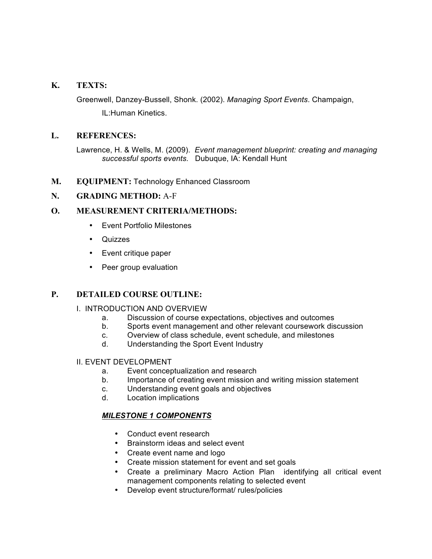## **K. TEXTS:**

 Greenwell, Danzey-Bussell, Shonk. (2002). *Managing Sport Events*. Champaign,

IL:Human Kinetics.

## **L. REFERENCES:**

 Lawrence, H. & Wells, M. (2009). *Event management blueprint: creating and managing successful sports events.* Dubuque, IA: Kendall Hunt

**M. EQUIPMENT:** Technology Enhanced Classroom

## **N. GRADING METHOD:** A-F

# **O. MEASUREMENT CRITERIA/METHODS:**

- • Event Portfolio Milestones
- • Quizzes
- Event critique paper
- Peer group evaluation

# **P. DETAILED COURSE OUTLINE:**

#### I. INTRODUCTION AND OVERVIEW

- a. Discussion of course expectations, objectives and outcomes
- b. Sports event management and other relevant coursework discussion
- c. Overview of class schedule, event schedule, and milestones
- d. Understanding the Sport Event Industry

## II. EVENT DEVELOPMENT

- a. Event conceptualization and research
- b. Importance of creating event mission and writing mission statement
- c. Understanding event goals and objectives
- d. Location implications

# *MILESTONE 1 COMPONENTS*

- Conduct event research
- • Brainstorm ideas and select event
- Create event name and logo
- Create mission statement for event and set goals
- • Create a preliminary Macro Action Plan identifying all critical event management components relating to selected event
- • Develop event structure/format/ rules/policies